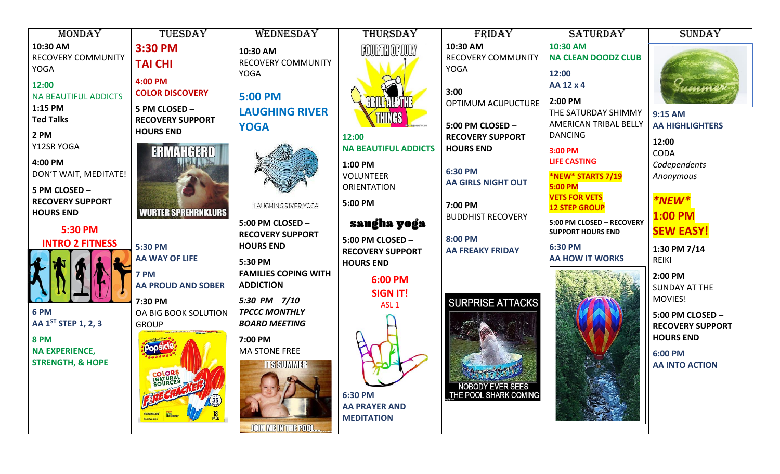| <b>MONDAY</b>                                                       | TUESDAY                                                   | WEDNESDAY                                                    | THURSDAY                                                        | FRIDAY                                                          | <b>SATURDAY</b>                                                           | <b>SUNDAY</b>                                        |
|---------------------------------------------------------------------|-----------------------------------------------------------|--------------------------------------------------------------|-----------------------------------------------------------------|-----------------------------------------------------------------|---------------------------------------------------------------------------|------------------------------------------------------|
| 10:30 AM<br><b>RECOVERY COMMUNITY</b><br><b>YOGA</b>                | 3:30 PM<br><b>TAI CHI</b>                                 | 10:30 AM<br><b>RECOVERY COMMUNITY</b><br><b>YOGA</b>         | <b>FOURTH OF JULY</b>                                           | 10:30 AM<br><b>RECOVERY COMMUNITY</b><br><b>YOGA</b>            | 10:30 AM<br><b>NA CLEAN DOODZ CLUB</b><br>12:00                           |                                                      |
| 12:00<br><b>NA BEAUTIFUL ADDICTS</b><br>1:15 PM<br><b>Ted Talks</b> | 4:00 PM<br><b>COLOR DISCOVERY</b><br>5 PM CLOSED -        | <b>5:00 PM</b><br><b>LAUGHING RIVER</b>                      | <b>GRILLYALL'THE</b><br>THINGS                                  | 3:00<br>OPTIMUM ACUPUCTURE                                      | AA 12 x 4<br>2:00 PM<br>THE SATURDAY SHIMMY                               | mm<br>9:15 AM                                        |
| 2 PM<br>Y12SR YOGA                                                  | <b>RECOVERY SUPPORT</b><br><b>HOURS END</b><br>ERMAHGERD  | <b>YOGA</b>                                                  | 12:00<br><b>NA BEAUTIFUL ADDICTS</b>                            | 5:00 PM CLOSED -<br><b>RECOVERY SUPPORT</b><br><b>HOURS END</b> | <b>AMERICAN TRIBAL BELLY</b><br><b>DANCING</b><br>3:00 PM                 | <b>AA HIGHLIGHTERS</b><br>12:00<br><b>CODA</b>       |
| 4:00 PM<br>DON'T WAIT, MEDITATE!<br>5 PM CLOSED -                   |                                                           |                                                              | 1:00 PM<br><b>VOLUNTEER</b><br><b>ORIENTATION</b>               | 6:30 PM<br><b>AA GIRLS NIGHT OUT</b>                            | <b>LIFE CASTING</b><br>*NEW* STARTS 7/19<br>5:00 PM                       | Codependents<br>Anonymous                            |
| <b>RECOVERY SUPPORT</b><br><b>HOURS END</b>                         | <b>WURTER SPREHRNKLURS</b>                                | LAUGHING RIVER YOGA<br>5:00 PM CLOSED -                      | 5:00 PM<br>sangha yoga                                          | 7:00 PM<br><b>BUDDHIST RECOVERY</b>                             | <b>VETS FOR VETS</b><br><b>12 STEP GROUP</b><br>5:00 PM CLOSED - RECOVERY | *NEW*<br>$1:00$ PM                                   |
| 5:30 PM<br><b>INTRO 2 FITNESS</b>                                   | 5:30 PM<br><b>AA WAY OF LIFE</b>                          | <b>RECOVERY SUPPORT</b><br><b>HOURS END</b><br>5:30 PM       | 5:00 PM CLOSED -<br><b>RECOVERY SUPPORT</b><br><b>HOURS END</b> | 8:00 PM<br><b>AA FREAKY FRIDAY</b>                              | <b>SUPPORT HOURS END</b><br>6:30 PM<br><b>AA HOW IT WORKS</b>             | <b>SEW EASY!</b><br>1:30 PM 7/14<br><b>REIKI</b>     |
|                                                                     | 7 PM<br><b>AA PROUD AND SOBER</b>                         | <b>FAMILIES COPING WITH</b><br><b>ADDICTION</b>              | 6:00 PM<br><b>SIGN IT!</b>                                      |                                                                 |                                                                           | 2:00 PM<br><b>SUNDAY AT THE</b><br>MOVIES!           |
| 6 PM<br>AA 1ST STEP 1, 2, 3                                         | 7:30 PM<br>OA BIG BOOK SOLUTION<br><b>GROUP</b>           | 5:30 PM 7/10<br><b>TPCCC MONTHLY</b><br><b>BOARD MEETING</b> | ASL <sub>1</sub>                                                | <b>SURPRISE ATTACKS</b>                                         |                                                                           | 5:00 PM CLOSED -<br><b>RECOVERY SUPPORT</b>          |
| <b>8 PM</b><br><b>NA EXPERIENCE,</b><br><b>STRENGTH, &amp; HOPE</b> |                                                           | 7:00 PM<br><b>MA STONE FREE</b><br><b>ITS SUMMER</b>         |                                                                 |                                                                 |                                                                           | <b>HOURS END</b><br>6:00 PM<br><b>AA INTO ACTION</b> |
|                                                                     | COLORS<br>INATURAL<br>SOURCES<br><b>NET217F.02 (STTL)</b> | JOIN ME IN THE POOL                                          | 6:30 PM<br><b>AA PRAYER AND</b><br><b>MEDITATION</b>            | <b>NOBODY EVER SEES</b><br>THE POOL SHARK COMING                |                                                                           |                                                      |